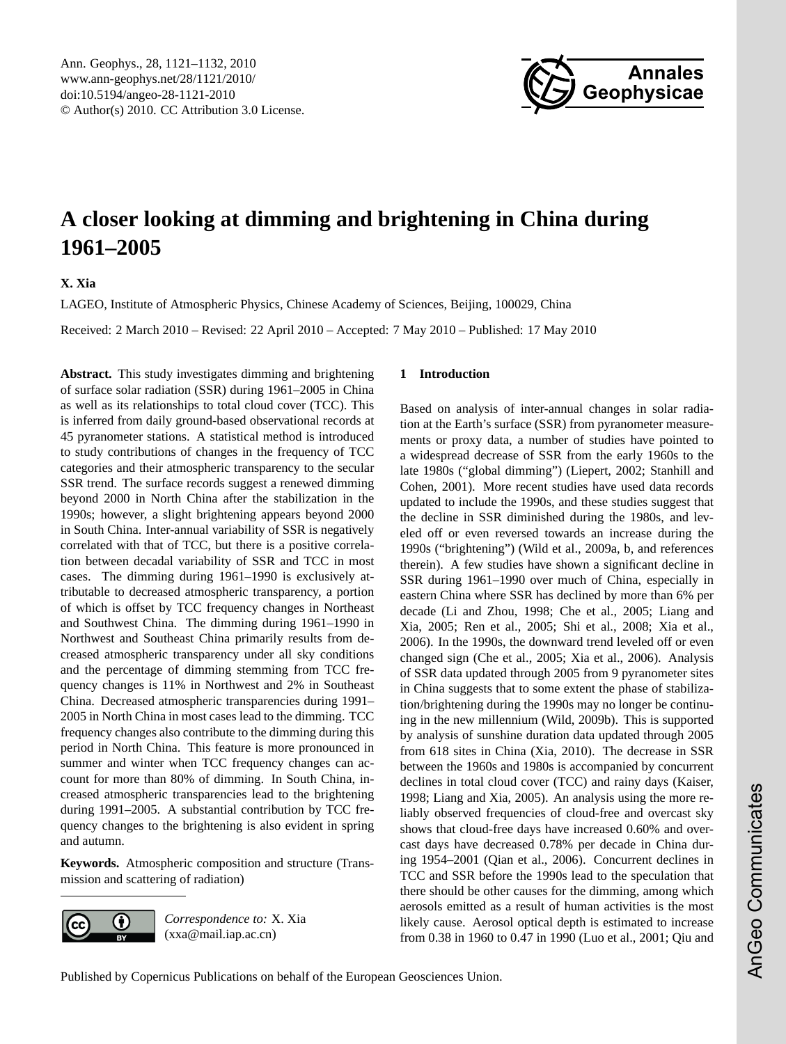<span id="page-0-0"></span>Ann. Geophys., 28, 1121–1132, 2010 www.ann-geophys.net/28/1121/2010/ doi:10.5194/angeo-28-1121-2010 © Author(s) 2010. CC Attribution 3.0 License.



# **A closer looking at dimming and brightening in China during 1961–2005**

**X. Xia**

LAGEO, Institute of Atmospheric Physics, Chinese Academy of Sciences, Beijing, 100029, China

Received: 2 March 2010 – Revised: 22 April 2010 – Accepted: 7 May 2010 – Published: 17 May 2010

**Abstract.** This study investigates dimming and brightening of surface solar radiation (SSR) during 1961–2005 in China as well as its relationships to total cloud cover (TCC). This is inferred from daily ground-based observational records at 45 pyranometer stations. A statistical method is introduced to study contributions of changes in the frequency of TCC categories and their atmospheric transparency to the secular SSR trend. The surface records suggest a renewed dimming beyond 2000 in North China after the stabilization in the 1990s; however, a slight brightening appears beyond 2000 in South China. Inter-annual variability of SSR is negatively correlated with that of TCC, but there is a positive correlation between decadal variability of SSR and TCC in most cases. The dimming during 1961–1990 is exclusively attributable to decreased atmospheric transparency, a portion of which is offset by TCC frequency changes in Northeast and Southwest China. The dimming during 1961–1990 in Northwest and Southeast China primarily results from decreased atmospheric transparency under all sky conditions and the percentage of dimming stemming from TCC frequency changes is 11% in Northwest and 2% in Southeast China. Decreased atmospheric transparencies during 1991– 2005 in North China in most cases lead to the dimming. TCC frequency changes also contribute to the dimming during this period in North China. This feature is more pronounced in summer and winter when TCC frequency changes can account for more than 80% of dimming. In South China, increased atmospheric transparencies lead to the brightening during 1991–2005. A substantial contribution by TCC frequency changes to the brightening is also evident in spring and autumn.

**Keywords.** Atmospheric composition and structure (Transmission and scattering of radiation)



*Correspondence to:* X. Xia (xxa@mail.iap.ac.cn)

## **1 Introduction**

Based on analysis of inter-annual changes in solar radiation at the Earth's surface (SSR) from pyranometer measurements or proxy data, a number of studies have pointed to a widespread decrease of SSR from the early 1960s to the late 1980s ("global dimming") (Liepert, 2002; Stanhill and Cohen, 2001). More recent studies have used data records updated to include the 1990s, and these studies suggest that the decline in SSR diminished during the 1980s, and leveled off or even reversed towards an increase during the 1990s ("brightening") (Wild et al., 2009a, b, and references therein). A few studies have shown a significant decline in SSR during 1961–1990 over much of China, especially in eastern China where SSR has declined by more than 6% per decade (Li and Zhou, 1998; Che et al., 2005; Liang and Xia, 2005; Ren et al., 2005; Shi et al., 2008; Xia et al., 2006). In the 1990s, the downward trend leveled off or even changed sign (Che et al., 2005; Xia et al., 2006). Analysis of SSR data updated through 2005 from 9 pyranometer sites in China suggests that to some extent the phase of stabilization/brightening during the 1990s may no longer be continuing in the new millennium (Wild, 2009b). This is supported by analysis of sunshine duration data updated through 2005 from 618 sites in China (Xia, 2010). The decrease in SSR between the 1960s and 1980s is accompanied by concurrent declines in total cloud cover (TCC) and rainy days (Kaiser, 1998; Liang and Xia, 2005). An analysis using the more reliably observed frequencies of cloud-free and overcast sky shows that cloud-free days have increased 0.60% and overcast days have decreased 0.78% per decade in China during 1954–2001 (Qian et al., 2006). Concurrent declines in TCC and SSR before the 1990s lead to the speculation that there should be other causes for the dimming, among which aerosols emitted as a result of human activities is the most likely cause. Aerosol optical depth is estimated to increase from 0.38 in 1960 to 0.47 in 1990 (Luo et al., 2001; Qiu and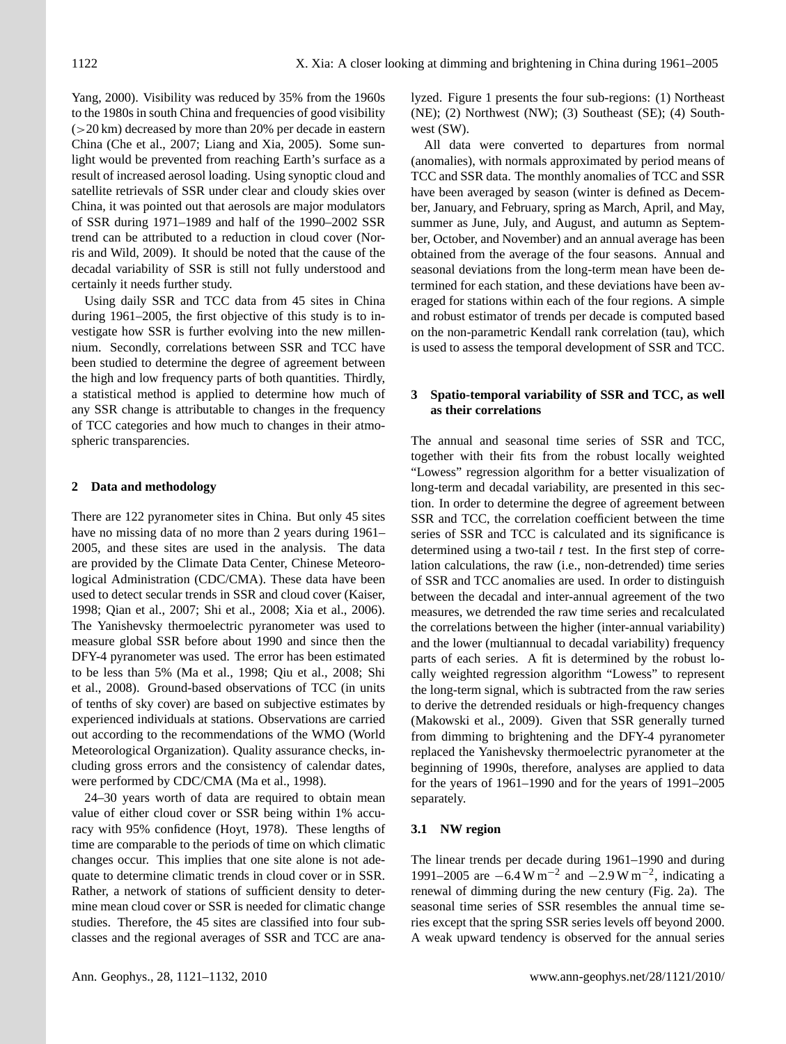Yang, 2000). Visibility was reduced by 35% from the 1960s to the 1980s in south China and frequencies of good visibility  $(>20 \text{ km})$  decreased by more than 20% per decade in eastern China (Che et al., 2007; Liang and Xia, 2005). Some sunlight would be prevented from reaching Earth's surface as a result of increased aerosol loading. Using synoptic cloud and satellite retrievals of SSR under clear and cloudy skies over China, it was pointed out that aerosols are major modulators of SSR during 1971–1989 and half of the 1990–2002 SSR trend can be attributed to a reduction in cloud cover (Norris and Wild, 2009). It should be noted that the cause of the decadal variability of SSR is still not fully understood and certainly it needs further study.

Using daily SSR and TCC data from 45 sites in China during 1961–2005, the first objective of this study is to investigate how SSR is further evolving into the new millennium. Secondly, correlations between SSR and TCC have been studied to determine the degree of agreement between the high and low frequency parts of both quantities. Thirdly, a statistical method is applied to determine how much of any SSR change is attributable to changes in the frequency of TCC categories and how much to changes in their atmospheric transparencies.

### **2 Data and methodology**

There are 122 pyranometer sites in China. But only 45 sites have no missing data of no more than 2 years during 1961– 2005, and these sites are used in the analysis. The data are provided by the Climate Data Center, Chinese Meteorological Administration (CDC/CMA). These data have been used to detect secular trends in SSR and cloud cover (Kaiser, 1998; Qian et al., 2007; Shi et al., 2008; Xia et al., 2006). The Yanishevsky thermoelectric pyranometer was used to measure global SSR before about 1990 and since then the DFY-4 pyranometer was used. The error has been estimated to be less than 5% (Ma et al., 1998; Qiu et al., 2008; Shi et al., 2008). Ground-based observations of TCC (in units of tenths of sky cover) are based on subjective estimates by experienced individuals at stations. Observations are carried out according to the recommendations of the WMO (World Meteorological Organization). Quality assurance checks, including gross errors and the consistency of calendar dates, were performed by CDC/CMA (Ma et al., 1998).

24–30 years worth of data are required to obtain mean value of either cloud cover or SSR being within 1% accuracy with 95% confidence (Hoyt, 1978). These lengths of time are comparable to the periods of time on which climatic changes occur. This implies that one site alone is not adequate to determine climatic trends in cloud cover or in SSR. Rather, a network of stations of sufficient density to determine mean cloud cover or SSR is needed for climatic change studies. Therefore, the 45 sites are classified into four subclasses and the regional averages of SSR and TCC are analyzed. Figure 1 presents the four sub-regions: (1) Northeast (NE); (2) Northwest (NW); (3) Southeast (SE); (4) Southwest (SW).

All data were converted to departures from normal (anomalies), with normals approximated by period means of TCC and SSR data. The monthly anomalies of TCC and SSR have been averaged by season (winter is defined as December, January, and February, spring as March, April, and May, summer as June, July, and August, and autumn as September, October, and November) and an annual average has been obtained from the average of the four seasons. Annual and seasonal deviations from the long-term mean have been determined for each station, and these deviations have been averaged for stations within each of the four regions. A simple and robust estimator of trends per decade is computed based on the non-parametric Kendall rank correlation (tau), which is used to assess the temporal development of SSR and TCC.

### **3 Spatio-temporal variability of SSR and TCC, as well as their correlations**

The annual and seasonal time series of SSR and TCC, together with their fits from the robust locally weighted "Lowess" regression algorithm for a better visualization of long-term and decadal variability, are presented in this section. In order to determine the degree of agreement between SSR and TCC, the correlation coefficient between the time series of SSR and TCC is calculated and its significance is determined using a two-tail  $t$  test. In the first step of correlation calculations, the raw (i.e., non-detrended) time series of SSR and TCC anomalies are used. In order to distinguish between the decadal and inter-annual agreement of the two measures, we detrended the raw time series and recalculated the correlations between the higher (inter-annual variability) and the lower (multiannual to decadal variability) frequency parts of each series. A fit is determined by the robust locally weighted regression algorithm "Lowess" to represent the long-term signal, which is subtracted from the raw series to derive the detrended residuals or high-frequency changes (Makowski et al., 2009). Given that SSR generally turned from dimming to brightening and the DFY-4 pyranometer replaced the Yanishevsky thermoelectric pyranometer at the beginning of 1990s, therefore, analyses are applied to data for the years of 1961–1990 and for the years of 1991–2005 separately.

### **3.1 NW region**

The linear trends per decade during 1961–1990 and during 1991–2005 are  $-6.4 \text{ W m}^{-2}$  and  $-2.9 \text{ W m}^{-2}$ , indicating a renewal of dimming during the new century (Fig. 2a). The seasonal time series of SSR resembles the annual time series except that the spring SSR series levels off beyond 2000. A weak upward tendency is observed for the annual series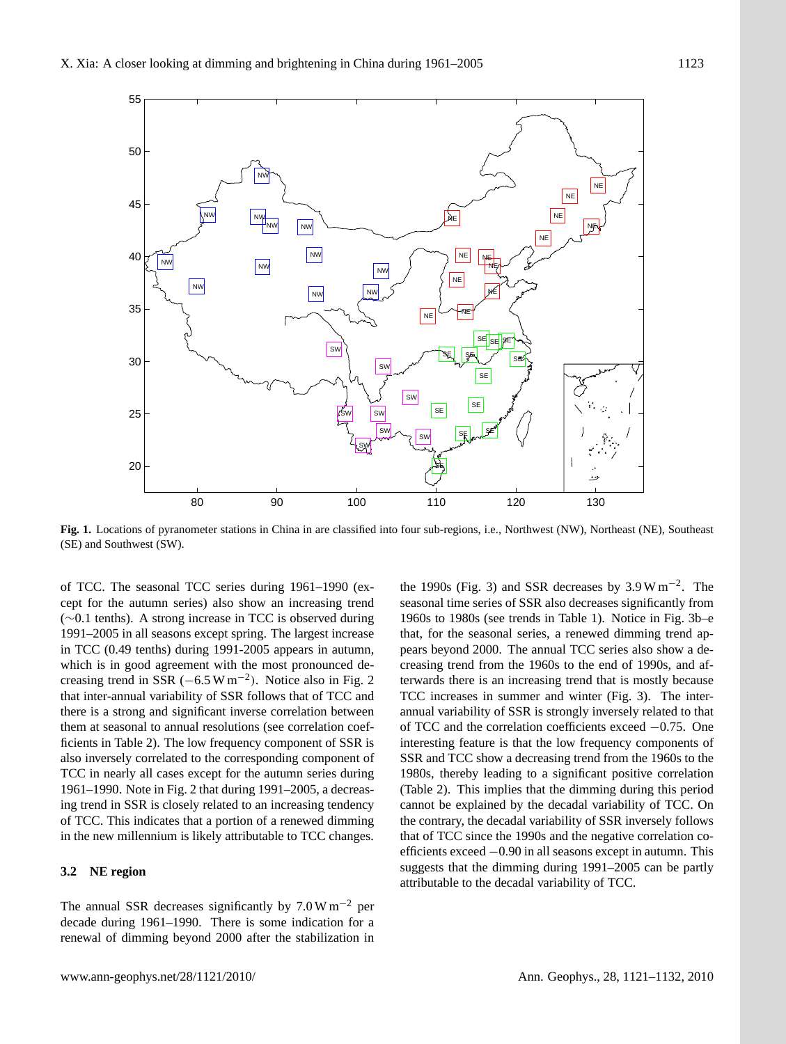

**Fig. 1.** Locations of pyranometer stations in China in are classified into four sub-regions, i.e., Northwest (NW), Northeast (NE), Southeast (SE) and Southwest (SW).

of TCC. The seasonal TCC series during 1961–1990 (except for the autumn series) also show an increasing trend (∼0.1 tenths). A strong increase in TCC is observed during 1991–2005 in all seasons except spring. The largest increase in TCC (0.49 tenths) during 1991-2005 appears in autumn, which is in good agreement with the most pronounced decreasing trend in SSR ( $-6.5 \text{ W m}^{-2}$ ). Notice also in Fig. 2 that inter-annual variability of SSR follows that of TCC and there is a strong and significant inverse correlation between them at seasonal to annual resolutions (see correlation coefficients in Table 2). The low frequency component of SSR is also inversely correlated to the corresponding component of TCC in nearly all cases except for the autumn series during 1961–1990. Note in Fig. 2 that during 1991–2005, a decreasing trend in SSR is closely related to an increasing tendency of TCC. This indicates that a portion of a renewed dimming in the new millennium is likely attributable to TCC changes.

### **3.2 NE region**

The annual SSR decreases significantly by  $7.0 \text{ W m}^{-2}$  per decade during 1961–1990. There is some indication for a renewal of dimming beyond 2000 after the stabilization in

the 1990s (Fig. 3) and SSR decreases by  $3.9 \text{ W m}^{-2}$ . The seasonal time series of SSR also decreases significantly from 1960s to 1980s (see trends in Table 1). Notice in Fig. 3b–e that, for the seasonal series, a renewed dimming trend appears beyond 2000. The annual TCC series also show a decreasing trend from the 1960s to the end of 1990s, and afterwards there is an increasing trend that is mostly because TCC increases in summer and winter (Fig. 3). The interannual variability of SSR is strongly inversely related to that of TCC and the correlation coefficients exceed −0.75. One interesting feature is that the low frequency components of SSR and TCC show a decreasing trend from the 1960s to the 1980s, thereby leading to a significant positive correlation (Table 2). This implies that the dimming during this period cannot be explained by the decadal variability of TCC. On the contrary, the decadal variability of SSR inversely follows that of TCC since the 1990s and the negative correlation coefficients exceed −0.90 in all seasons except in autumn. This suggests that the dimming during 1991–2005 can be partly attributable to the decadal variability of TCC.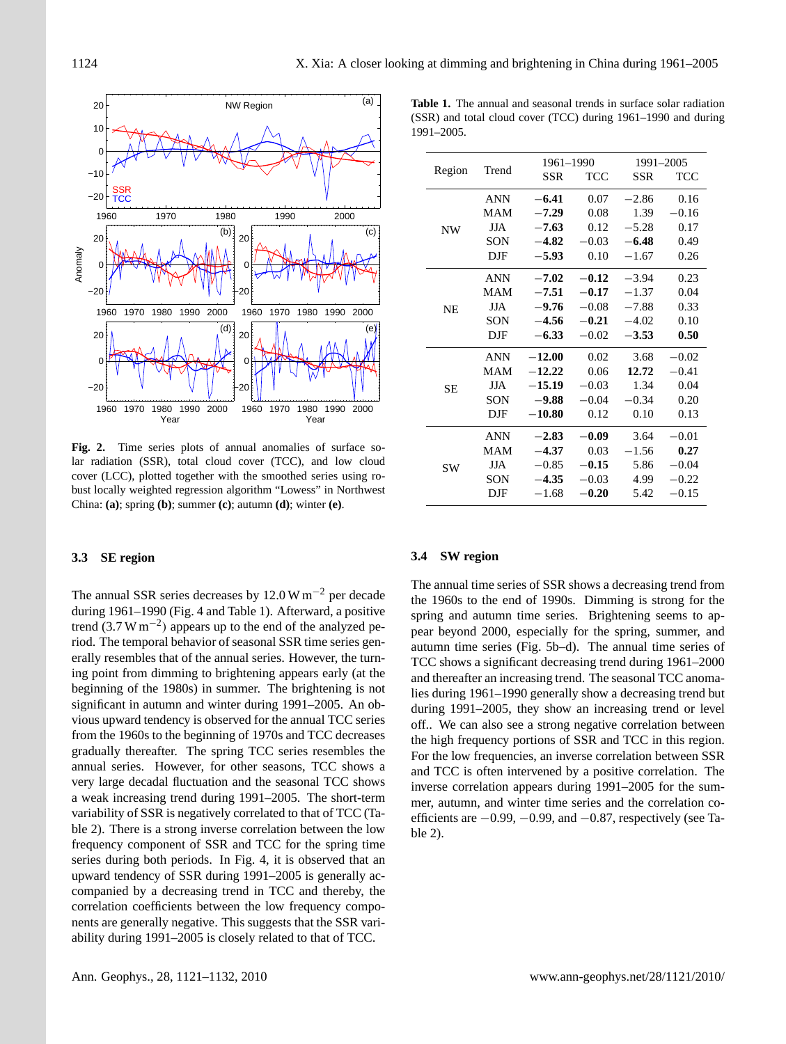

**Fig. 2.** Time series plots of annual anomalies of surface solar radiation (SSR), total cloud cover (TCC), and low cloud cover (LCC), plotted together with the smoothed series using robust locally weighted regression algorithm "Lowess" in Northwest China: **(a)**; spring **(b)**; summer **(c)**; autumn **(d)**; winter **(e)**.

### **3.3 SE region**

The annual SSR series decreases by 12.0 W m−<sup>2</sup> per decade during 1961–1990 (Fig. 4 and Table 1). Afterward, a positive trend (3.7 W m−<sup>2</sup> ) appears up to the end of the analyzed period. The temporal behavior of seasonal SSR time series generally resembles that of the annual series. However, the turning point from dimming to brightening appears early (at the beginning of the 1980s) in summer. The brightening is not significant in autumn and winter during 1991–2005. An obvious upward tendency is observed for the annual TCC series from the 1960s to the beginning of 1970s and TCC decreases gradually thereafter. The spring TCC series resembles the annual series. However, for other seasons, TCC shows a very large decadal fluctuation and the seasonal TCC shows a weak increasing trend during 1991–2005. The short-term variability of SSR is negatively correlated to that of TCC (Table 2). There is a strong inverse correlation between the low frequency component of SSR and TCC for the spring time series during both periods. In Fig. 4, it is observed that an upward tendency of SSR during 1991–2005 is generally accompanied by a decreasing trend in TCC and thereby, the correlation coefficients between the low frequency components are generally negative. This suggests that the SSR variability during 1991–2005 is closely related to that of TCC.

**Table 1.** The annual and seasonal trends in surface solar radiation (SSR) and total cloud cover (TCC) during 1961–1990 and during 1991–2005.

| Region    |              | 1961-1990 |         | 1991-2005 |         |  |
|-----------|--------------|-----------|---------|-----------|---------|--|
|           | Trend        | SSR       | TCC     | SSR       | TCC     |  |
|           | <b>ANN</b>   | $-6.41$   | 0.07    | $-2.86$   | 0.16    |  |
| <b>NW</b> | <b>MAM</b>   | $-7.29$   | 0.08    | 1.39      | $-0.16$ |  |
|           | <b>JJA</b>   | $-7.63$   | 0.12    | $-5.28$   | 0.17    |  |
|           | SON          | $-4.82$   | $-0.03$ | $-6.48$   | 0.49    |  |
|           | DJF          | $-5.93$   | 0.10    | $-1.67$   | 0.26    |  |
|           | <b>ANN</b>   | $-7.02$   | $-0.12$ | $-3.94$   | 0.23    |  |
|           | <b>MAM</b>   | $-7.51$   | $-0.17$ | $-1.37$   | 0.04    |  |
| <b>NE</b> | <b>JJA</b>   | $-9.76$   | $-0.08$ | $-7.88$   | 0.33    |  |
|           | SON          | $-4.56$   | $-0.21$ | $-4.02$   | 0.10    |  |
|           | DJF          | $-6.33$   | $-0.02$ | $-3.53$   | 0.50    |  |
|           | <b>ANN</b>   | $-12.00$  | 0.02    | 3.68      | $-0.02$ |  |
|           | <b>MAM</b>   | $-12.22$  | 0.06    | 12.72     | $-0.41$ |  |
| <b>SE</b> | <b>JJA</b>   | $-15.19$  | $-0.03$ | 1.34      | 0.04    |  |
|           | SON          | $-9.88$   | $-0.04$ | $-0.34$   | 0.20    |  |
|           | $_{\rm DJF}$ | $-10.80$  | 0.12    | 0.10      | 0.13    |  |
|           | <b>ANN</b>   | $-2.83$   | $-0.09$ | 3.64      | $-0.01$ |  |
|           | <b>MAM</b>   | $-4.37$   | 0.03    | $-1.56$   | 0.27    |  |
| <b>SW</b> | <b>JJA</b>   | $-0.85$   | $-0.15$ | 5.86      | $-0.04$ |  |
|           | SON          | $-4.35$   | $-0.03$ | 4.99      | $-0.22$ |  |
|           | DJF          | $-1.68$   | $-0.20$ | 5.42      | $-0.15$ |  |
|           |              |           |         |           |         |  |

### **3.4 SW region**

The annual time series of SSR shows a decreasing trend from the 1960s to the end of 1990s. Dimming is strong for the spring and autumn time series. Brightening seems to appear beyond 2000, especially for the spring, summer, and autumn time series (Fig. 5b–d). The annual time series of TCC shows a significant decreasing trend during 1961–2000 and thereafter an increasing trend. The seasonal TCC anomalies during 1961–1990 generally show a decreasing trend but during 1991–2005, they show an increasing trend or level off.. We can also see a strong negative correlation between the high frequency portions of SSR and TCC in this region. For the low frequencies, an inverse correlation between SSR and TCC is often intervened by a positive correlation. The inverse correlation appears during 1991–2005 for the summer, autumn, and winter time series and the correlation coefficients are −0.99, −0.99, and −0.87, respectively (see Table 2).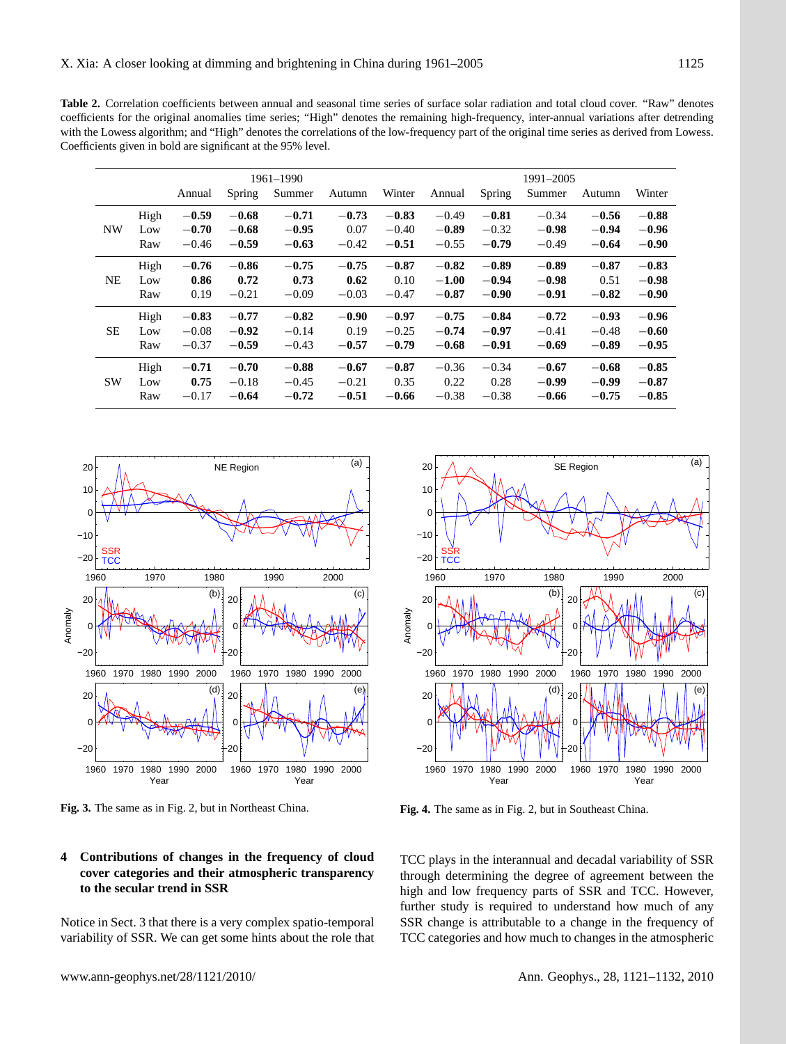**Table 2.** Correlation coefficients between annual and seasonal time series of surface solar radiation and total cloud cover. "Raw" denotes coefficients for the original anomalies time series; "High" denotes the remaining high-frequency, inter-annual variations after detrending with the Lowess algorithm; and "High" denotes the correlations of the low-frequency part of the original time series as derived from Lowess. Coefficients given in bold are significant at the 95% level.

|           |      |         |         | 1961-1990 |         |         |         |         | 1991-2005 |         |         |
|-----------|------|---------|---------|-----------|---------|---------|---------|---------|-----------|---------|---------|
|           |      | Annual  | Spring  | Summer    | Autumn  | Winter  | Annual  | Spring  | Summer    | Autumn  | Winter  |
| <b>NW</b> | High | $-0.59$ | $-0.68$ | $-0.71$   | $-0.73$ | $-0.83$ | $-0.49$ | $-0.81$ | $-0.34$   | $-0.56$ | $-0.88$ |
|           | Low  | $-0.70$ | $-0.68$ | $-0.95$   | 0.07    | $-0.40$ | $-0.89$ | $-0.32$ | $-0.98$   | $-0.94$ | $-0.96$ |
|           | Raw  | $-0.46$ | $-0.59$ | $-0.63$   | $-0.42$ | $-0.51$ | $-0.55$ | $-0.79$ | $-0.49$   | $-0.64$ | $-0.90$ |
| <b>NE</b> | High | $-0.76$ | $-0.86$ | $-0.75$   | $-0.75$ | $-0.87$ | $-0.82$ | $-0.89$ | $-0.89$   | $-0.87$ | $-0.83$ |
|           | Low  | 0.86    | 0.72    | 0.73      | 0.62    | 0.10    | $-1.00$ | $-0.94$ | $-0.98$   | 0.51    | $-0.98$ |
|           | Raw  | 0.19    | $-0.21$ | $-0.09$   | $-0.03$ | $-0.47$ | $-0.87$ | $-0.90$ | $-0.91$   | $-0.82$ | $-0.90$ |
| <b>SE</b> | High | $-0.83$ | $-0.77$ | $-0.82$   | $-0.90$ | $-0.97$ | $-0.75$ | $-0.84$ | $-0.72$   | $-0.93$ | $-0.96$ |
|           | Low  | $-0.08$ | $-0.92$ | $-0.14$   | 0.19    | $-0.25$ | $-0.74$ | $-0.97$ | $-0.41$   | $-0.48$ | $-0.60$ |
|           | Raw  | $-0.37$ | $-0.59$ | $-0.43$   | $-0.57$ | $-0.79$ | $-0.68$ | $-0.91$ | $-0.69$   | $-0.89$ | $-0.95$ |
| <b>SW</b> | High | $-0.71$ | $-0.70$ | $-0.88$   | $-0.67$ | $-0.87$ | $-0.36$ | $-0.34$ | $-0.67$   | $-0.68$ | $-0.85$ |
|           | Low  | 0.75    | $-0.18$ | $-0.45$   | $-0.21$ | 0.35    | 0.22    | 0.28    | $-0.99$   | $-0.99$ | $-0.87$ |
|           | Raw  | $-0.17$ | $-0.64$ | $-0.72$   | $-0.51$ | $-0.66$ | $-0.38$ | $-0.38$ | $-0.66$   | $-0.75$ | $-0.85$ |



**Fig. 3.** The same as in Fig. 2, but in Northeast China.

### **4 Contributions of changes in the frequency of cloud cover categories and their atmospheric transparency to the secular trend in SSR**

Notice in Sect. 3 that there is a very complex spatio-temporal variability of SSR. We can get some hints about the role that



**Fig. 4.** The same as in Fig. 2, but in Southeast China.

TCC plays in the interannual and decadal variability of SSR through determining the degree of agreement between the high and low frequency parts of SSR and TCC. However, further study is required to understand how much of any SSR change is attributable to a change in the frequency of TCC categories and how much to changes in the atmospheric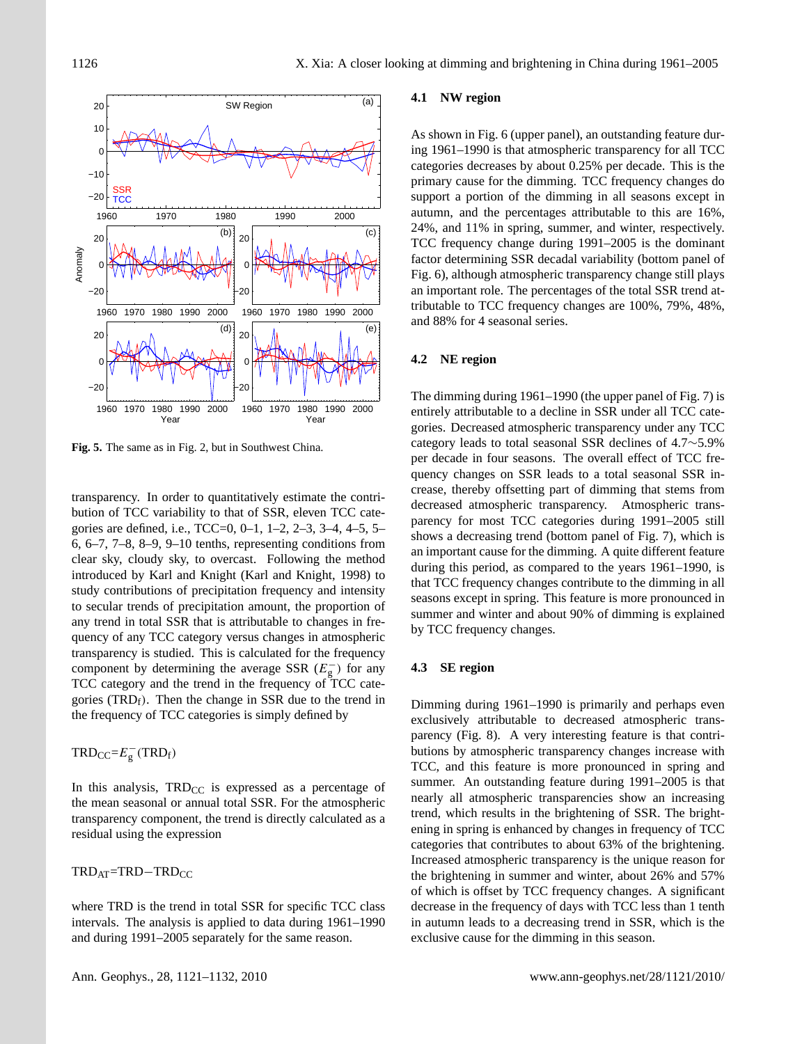

**Fig. 5.** The same as in Fig. 2, but in Southwest China.

transparency. In order to quantitatively estimate the contribution of TCC variability to that of SSR, eleven TCC categories are defined, i.e., TCC=0, 0–1, 1–2, 2–3, 3–4, 4–5, 5– 6, 6–7, 7–8, 8–9, 9–10 tenths, representing conditions from clear sky, cloudy sky, to overcast. Following the method introduced by Karl and Knight (Karl and Knight, 1998) to study contributions of precipitation frequency and intensity to secular trends of precipitation amount, the proportion of any trend in total SSR that is attributable to changes in frequency of any TCC category versus changes in atmospheric transparency is studied. This is calculated for the frequency component by determining the average SSR  $(E_{g}^{-})$  for any TCC category and the trend in the frequency of TCC categories (TRD $_f$ ). Then the change in SSR due to the trend in the frequency of TCC categories is simply defined by

# $TRD_{CC} = E_g^-(TRD_f)$

In this analysis,  $TRD_{CC}$  is expressed as a percentage of the mean seasonal or annual total SSR. For the atmospheric transparency component, the trend is directly calculated as a residual using the expression

TRD<sub>AT</sub>=TRD−TRD<sub>CC</sub>

where TRD is the trend in total SSR for specific TCC class intervals. The analysis is applied to data during 1961–1990 and during 1991–2005 separately for the same reason.

### **4.1 NW region**

As shown in Fig. 6 (upper panel), an outstanding feature during 1961–1990 is that atmospheric transparency for all TCC categories decreases by about 0.25% per decade. This is the primary cause for the dimming. TCC frequency changes do support a portion of the dimming in all seasons except in autumn, and the percentages attributable to this are 16%, 24%, and 11% in spring, summer, and winter, respectively. TCC frequency change during 1991–2005 is the dominant factor determining SSR decadal variability (bottom panel of Fig. 6), although atmospheric transparency change still plays an important role. The percentages of the total SSR trend attributable to TCC frequency changes are 100%, 79%, 48%, and 88% for 4 seasonal series.

### **4.2 NE region**

The dimming during 1961–1990 (the upper panel of Fig. 7) is entirely attributable to a decline in SSR under all TCC categories. Decreased atmospheric transparency under any TCC category leads to total seasonal SSR declines of 4.7∼5.9% per decade in four seasons. The overall effect of TCC frequency changes on SSR leads to a total seasonal SSR increase, thereby offsetting part of dimming that stems from decreased atmospheric transparency. Atmospheric transparency for most TCC categories during 1991–2005 still shows a decreasing trend (bottom panel of Fig. 7), which is an important cause for the dimming. A quite different feature during this period, as compared to the years 1961–1990, is that TCC frequency changes contribute to the dimming in all seasons except in spring. This feature is more pronounced in summer and winter and about 90% of dimming is explained by TCC frequency changes.

### **4.3 SE region**

Dimming during 1961–1990 is primarily and perhaps even exclusively attributable to decreased atmospheric transparency (Fig. 8). A very interesting feature is that contributions by atmospheric transparency changes increase with TCC, and this feature is more pronounced in spring and summer. An outstanding feature during 1991–2005 is that nearly all atmospheric transparencies show an increasing trend, which results in the brightening of SSR. The brightening in spring is enhanced by changes in frequency of TCC categories that contributes to about 63% of the brightening. Increased atmospheric transparency is the unique reason for the brightening in summer and winter, about 26% and 57% of which is offset by TCC frequency changes. A significant decrease in the frequency of days with TCC less than 1 tenth in autumn leads to a decreasing trend in SSR, which is the exclusive cause for the dimming in this season.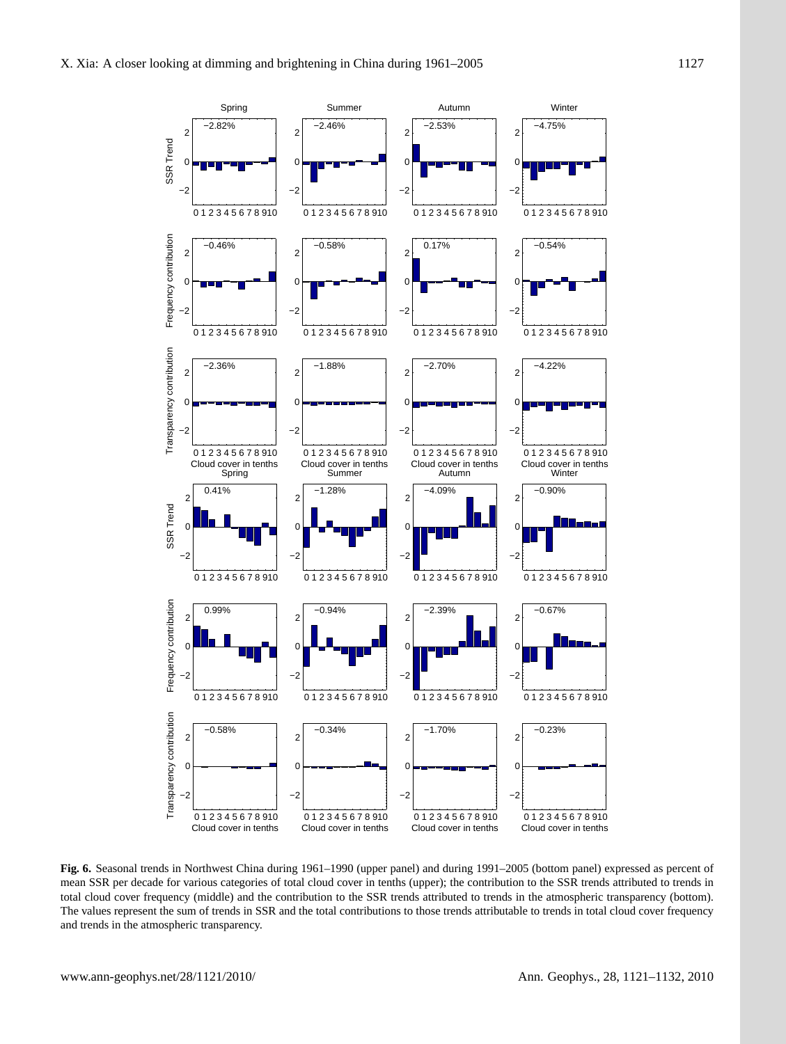

**Fig. 6.** Seasonal trends in Northwest China during 1961–1990 (upper panel) and during 1991–2005 (bottom panel) expressed as percent of mean SSR per decade for various categories of total cloud cover in tenths (upper); the contribution to the SSR trends attributed to trends in total cloud cover frequency (middle) and the contribution to the SSR trends attributed to trends in the atmospheric transparency (bottom). The values represent the sum of trends in SSR and the total contributions to those trends attributable to trends in total cloud cover frequency and trends in the atmospheric transparency.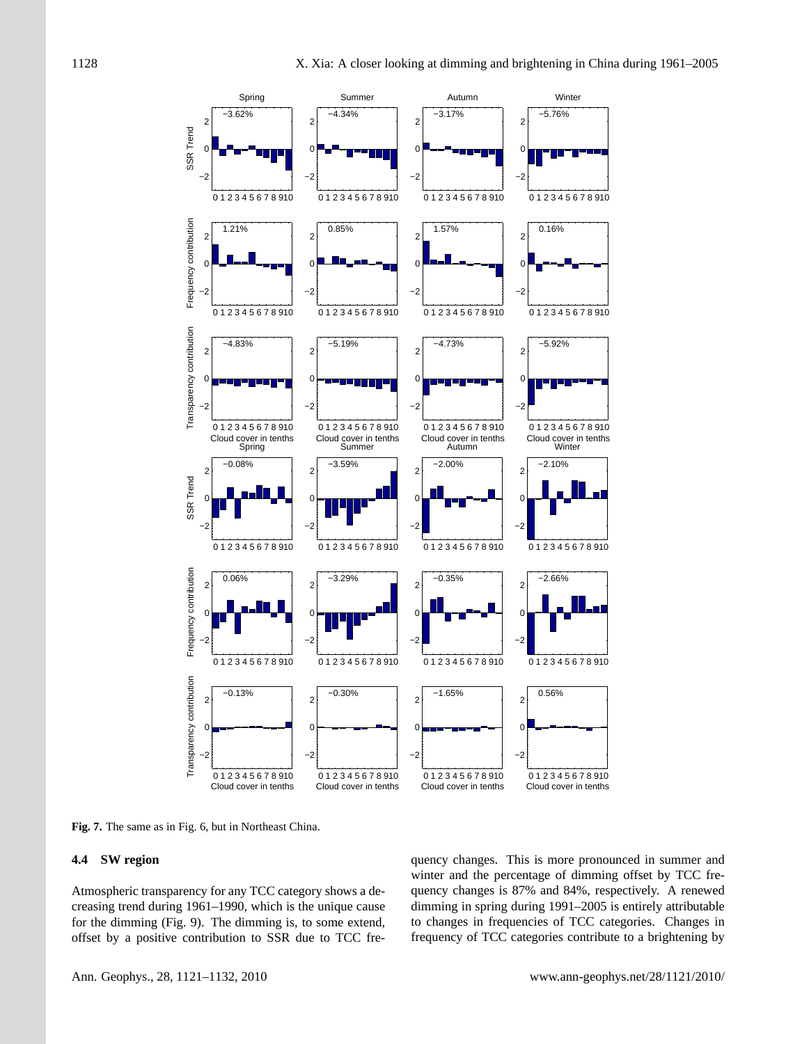![](_page_7_Figure_2.jpeg)

**Fig. 7.** The same as in Fig. 6, but in Northeast China.

### **4.4 SW region**

Atmospheric transparency for any TCC category shows a decreasing trend during 1961–1990, which is the unique cause for the dimming (Fig. 9). The dimming is, to some extend, offset by a positive contribution to SSR due to TCC frequency changes. This is more pronounced in summer and winter and the percentage of dimming offset by TCC frequency changes is 87% and 84%, respectively. A renewed dimming in spring during 1991–2005 is entirely attributable to changes in frequencies of TCC categories. Changes in frequency of TCC categories contribute to a brightening by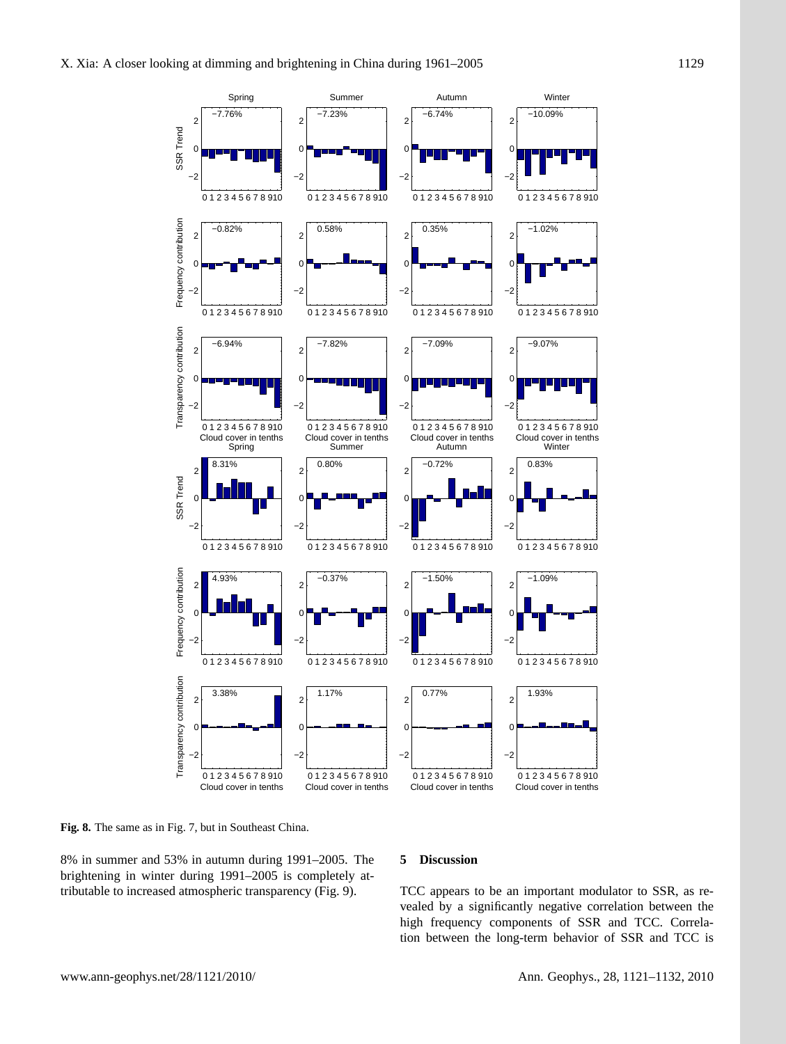![](_page_8_Figure_2.jpeg)

**Fig. 8.** The same as in Fig. 7, but in Southeast China.

8% in summer and 53% in autumn during 1991–2005. The brightening in winter during 1991–2005 is completely attributable to increased atmospheric transparency (Fig. 9).

### **5 Discussion**

TCC appears to be an important modulator to SSR, as revealed by a significantly negative correlation between the high frequency components of SSR and TCC. Correlation between the long-term behavior of SSR and TCC is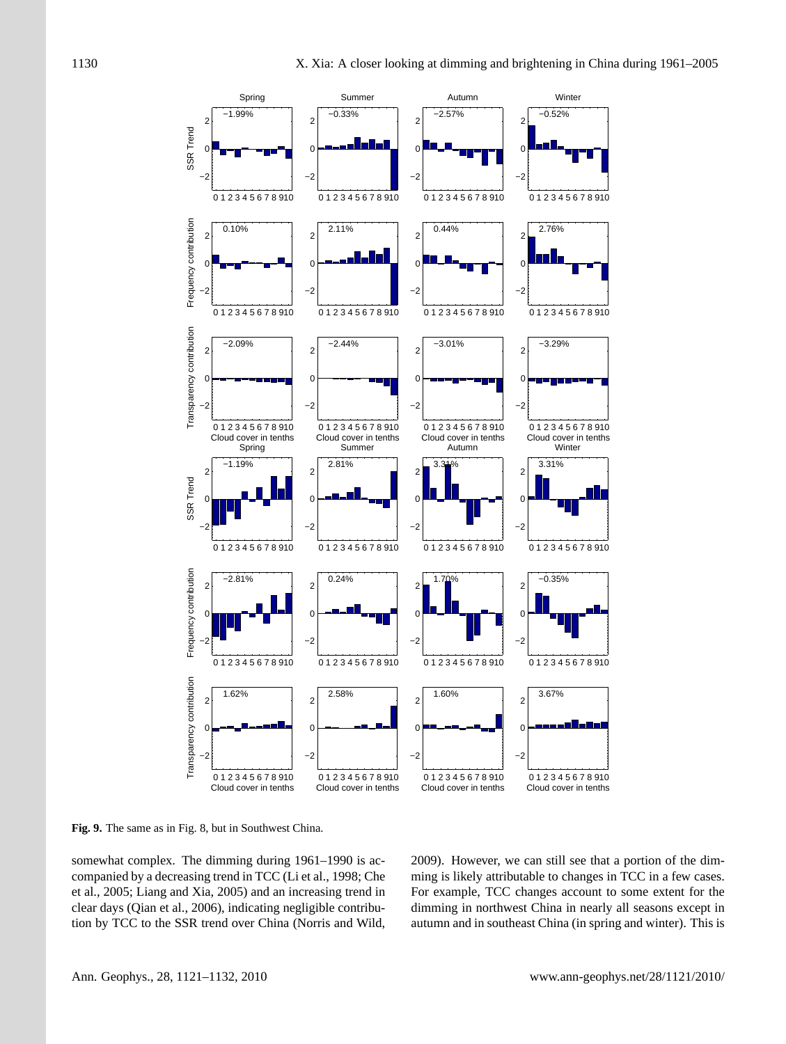![](_page_9_Figure_2.jpeg)

**Fig. 9.** The same as in Fig. 8, but in Southwest China.

somewhat complex. The dimming during 1961–1990 is accompanied by a decreasing trend in TCC (Li et al., 1998; Che et al., 2005; Liang and Xia, 2005) and an increasing trend in clear days (Qian et al., 2006), indicating negligible contribution by TCC to the SSR trend over China (Norris and Wild,

2009). However, we can still see that a portion of the dimming is likely attributable to changes in TCC in a few cases. For example, TCC changes account to some extent for the dimming in northwest China in nearly all seasons except in autumn and in southeast China (in spring and winter). This is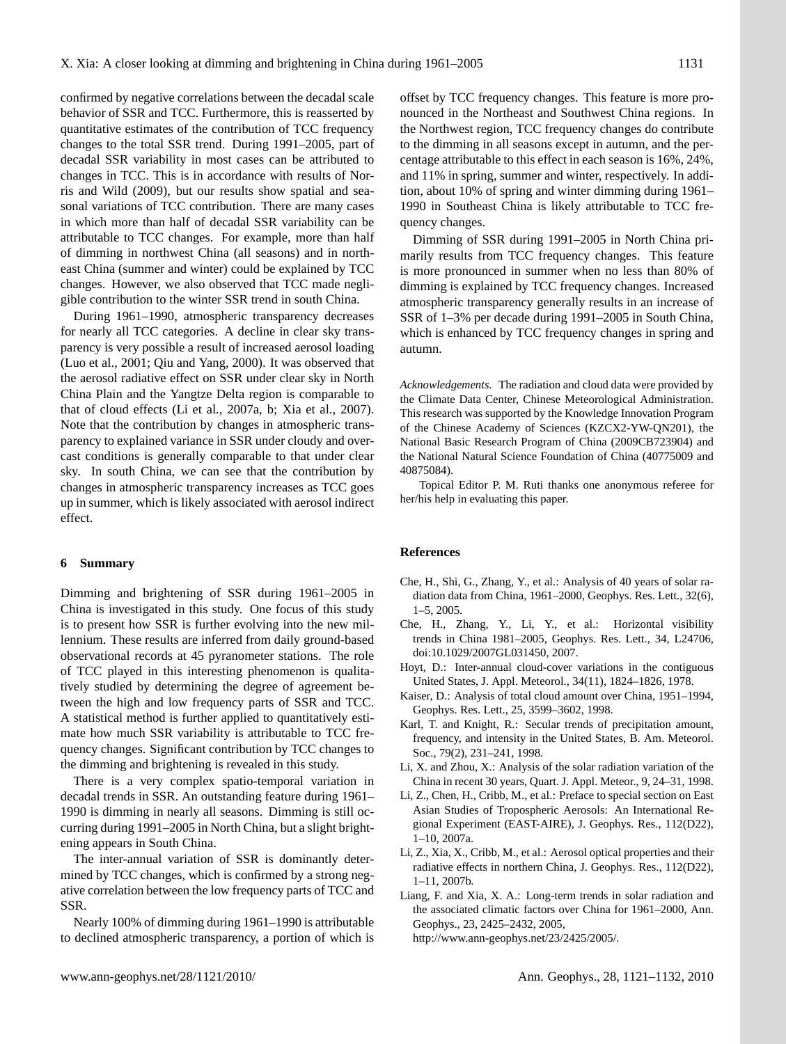confirmed by negative correlations between the decadal scale behavior of SSR and TCC. Furthermore, this is reasserted by quantitative estimates of the contribution of TCC frequency changes to the total SSR trend. During 1991–2005, part of decadal SSR variability in most cases can be attributed to changes in TCC. This is in accordance with results of Norris and Wild (2009), but our results show spatial and seasonal variations of TCC contribution. There are many cases in which more than half of decadal SSR variability can be attributable to TCC changes. For example, more than half of dimming in northwest China (all seasons) and in northeast China (summer and winter) could be explained by TCC changes. However, we also observed that TCC made negligible contribution to the winter SSR trend in south China.

During 1961–1990, atmospheric transparency decreases for nearly all TCC categories. A decline in clear sky transparency is very possible a result of increased aerosol loading (Luo et al., 2001; Qiu and Yang, 2000). It was observed that the aerosol radiative effect on SSR under clear sky in North China Plain and the Yangtze Delta region is comparable to that of cloud effects (Li et al., 2007a, b; Xia et al., 2007). Note that the contribution by changes in atmospheric transparency to explained variance in SSR under cloudy and overcast conditions is generally comparable to that under clear sky. In south China, we can see that the contribution by changes in atmospheric transparency increases as TCC goes up in summer, which is likely associated with aerosol indirect effect.

### **6 Summary**

Dimming and brightening of SSR during 1961–2005 in China is investigated in this study. One focus of this study is to present how SSR is further evolving into the new millennium. These results are inferred from daily ground-based observational records at 45 pyranometer stations. The role of TCC played in this interesting phenomenon is qualitatively studied by determining the degree of agreement between the high and low frequency parts of SSR and TCC. A statistical method is further applied to quantitatively estimate how much SSR variability is attributable to TCC frequency changes. Significant contribution by TCC changes to the dimming and brightening is revealed in this study.

There is a very complex spatio-temporal variation in decadal trends in SSR. An outstanding feature during 1961– 1990 is dimming in nearly all seasons. Dimming is still occurring during 1991–2005 in North China, but a slight brightening appears in South China.

The inter-annual variation of SSR is dominantly determined by TCC changes, which is confirmed by a strong negative correlation between the low frequency parts of TCC and SSR.

Nearly 100% of dimming during 1961–1990 is attributable to declined atmospheric transparency, a portion of which is offset by TCC frequency changes. This feature is more pronounced in the Northeast and Southwest China regions. In the Northwest region, TCC frequency changes do contribute to the dimming in all seasons except in autumn, and the percentage attributable to this effect in each season is 16%, 24%, and 11% in spring, summer and winter, respectively. In addition, about 10% of spring and winter dimming during 1961– 1990 in Southeast China is likely attributable to TCC frequency changes.

Dimming of SSR during 1991–2005 in North China primarily results from TCC frequency changes. This feature is more pronounced in summer when no less than 80% of dimming is explained by TCC frequency changes. Increased atmospheric transparency generally results in an increase of SSR of 1–3% per decade during 1991–2005 in South China, which is enhanced by TCC frequency changes in spring and autumn.

*Acknowledgements.* The radiation and cloud data were provided by the Climate Data Center, Chinese Meteorological Administration. This research was supported by the Knowledge Innovation Program of the Chinese Academy of Sciences (KZCX2-YW-QN201), the National Basic Research Program of China (2009CB723904) and the National Natural Science Foundation of China (40775009 and 40875084).

Topical Editor P. M. Ruti thanks one anonymous referee for her/his help in evaluating this paper.

#### **References**

- Che, H., Shi, G., Zhang, Y., et al.: Analysis of 40 years of solar radiation data from China, 1961–2000, Geophys. Res. Lett., 32(6), 1–5, 2005.
- Che, H., Zhang, Y., Li, Y., et al.: Horizontal visibility trends in China 1981–2005, Geophys. Res. Lett., 34, L24706, doi:10.1029/2007GL031450, 2007.
- Hoyt, D.: Inter-annual cloud-cover variations in the contiguous United States, J. Appl. Meteorol., 34(11), 1824–1826, 1978.
- Kaiser, D.: Analysis of total cloud amount over China, 1951–1994, Geophys. Res. Lett., 25, 3599–3602, 1998.
- Karl, T. and Knight, R.: Secular trends of precipitation amount, frequency, and intensity in the United States, B. Am. Meteorol. Soc., 79(2), 231–241, 1998.
- Li, X. and Zhou, X.: Analysis of the solar radiation variation of the China in recent 30 years, Quart. J. Appl. Meteor., 9, 24–31, 1998.
- Li, Z., Chen, H., Cribb, M., et al.: Preface to special section on East Asian Studies of Tropospheric Aerosols: An International Regional Experiment (EAST-AIRE), J. Geophys. Res., 112(D22), 1–10, 2007a.
- Li, Z., Xia, X., Cribb, M., et al.: Aerosol optical properties and their radiative effects in northern China, J. Geophys. Res., 112(D22), 1–11, 2007b.
- Liang, F. and Xia, X. A.: Long-term trends in solar radiation and the associated climatic factors over China for 1961–2000, Ann. Geophys., 23, 2425–2432, 2005,

[http://www.ann-geophys.net/23/2425/2005/.](http://www.ann-geophys.net/23/2425/2005/)